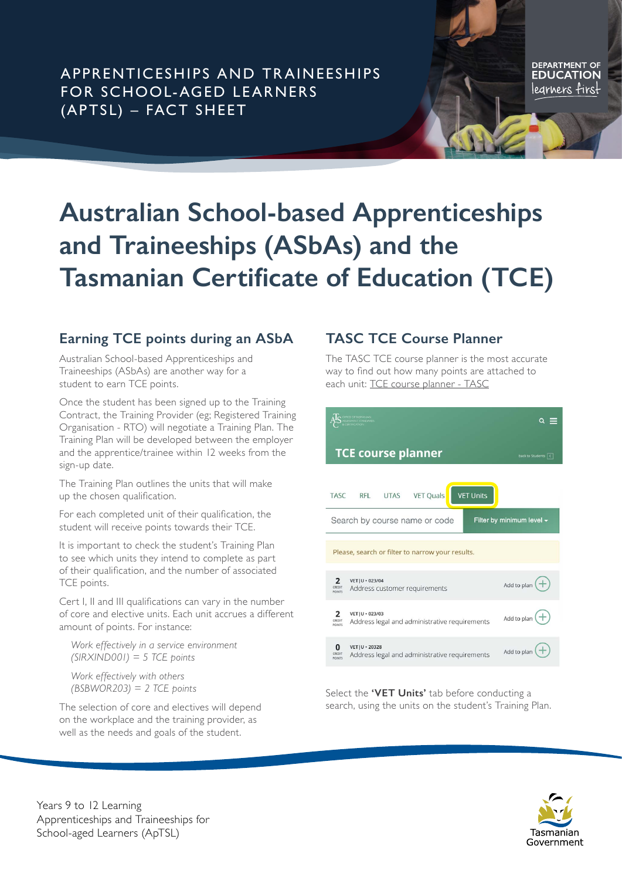APPRENTICESHIPS AND TR AINEESHIPS FOR SCHOOL-AGED LEARNERS (APTSL) – FACT SHEET

DEPARTMENT OF legrners firs<del>l</del>

# **Australian School-based Apprenticeships and Traineeships (ASbAs) and the Tasmanian Certificate of Education (TCE)**

## **Earning TCE points during an ASbA**

Australian School-based Apprenticeships and Traineeships (ASbAs) are another way for a student to earn TCE points.

Once the student has been signed up to the Training Contract, the Training Provider (eg; Registered Training Organisation - RTO) will negotiate a Training Plan. The Training Plan will be developed between the employer and the apprentice/trainee within 12 weeks from the sign-up date.

The Training Plan outlines the units that will make up the chosen qualification.

For each completed unit of their qualification, the student will receive points towards their TCE.

It is important to check the student's Training Plan to see which units they intend to complete as part of their qualification, and the number of associated TCE points.

Cert I, II and III qualifications can vary in the number of core and elective units. Each unit accrues a different amount of points. For instance:

*Work effectively in a service environment (SIRXIND001) = 5 TCE points*

*Work effectively with others (BSBWOR203) = 2 TCE points* 

The selection of core and electives will depend on the workplace and the training provider, as well as the needs and goals of the student.

### **TASC TCE Course Planner**

The TASC TCE course planner is the most accurate way to find out how many points are attached to each unit: [TCE course planner - TASC](https://www.tasc.tas.gov.au/students/course-planner/)

|                                                                 |                                                                   | Q                  |
|-----------------------------------------------------------------|-------------------------------------------------------------------|--------------------|
|                                                                 | <b>TCE course planner</b>                                         | back to Students < |
| <b>TASC</b>                                                     | <b>VET Units</b><br><b>UTAS</b><br><b>VET Quals</b><br><b>RFL</b> |                    |
| Filter by minimum level $\sim$<br>Search by course name or code |                                                                   |                    |
| Please, search or filter to narrow your results.                |                                                                   |                    |
| $\overline{2}$<br>CREDIT<br>POINTS                              | VET   U + 023/04<br>Address customer requirements                 | Add to plan        |
| 2<br>CREDI<br><b>POINTS</b>                                     | VET   U + 023/03<br>Address legal and administrative requirements | Add to plan        |
| n<br>CREDIT<br><b>POINTS</b>                                    | VET   U + 20328<br>Address legal and administrative requirements  | Add to plan        |

Select the **'VET Units'** tab before conducting a search, using the units on the student's Training Plan.



Years 9 to 12 Learning Apprenticeships and Traineeships for School-aged Learners (ApTSL)